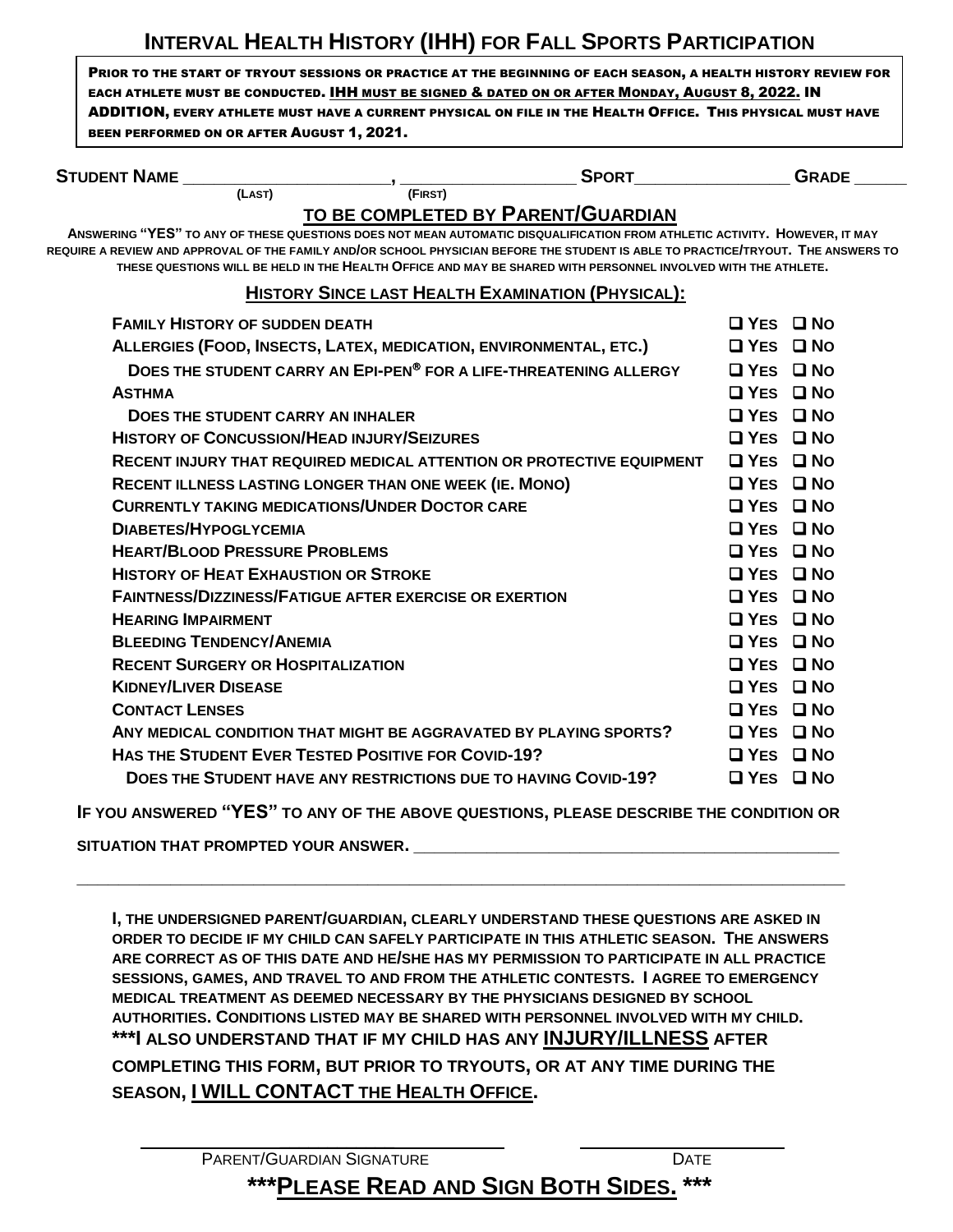## **INTERVAL HEALTH HISTORY (IHH) FOR FALL SPORTS PARTICIPATION**

PRIOR TO THE START OF TRYOUT SESSIONS OR PRACTICE AT THE BEGINNING OF EACH SEASON, A HEALTH HISTORY REVIEW FOR EACH ATHLETE MUST BE CONDUCTED. **IHH MUST BE SIGNED & DATED ON OR AFTER MONDAY, AUGUST 8, 2022. IN** ADDITION, EVERY ATHLETE MUST HAVE A CURRENT PHYSICAL ON FILE IN THE HEALTH OFFICE. THIS PHYSICAL MUST HAVE BEEN PERFORMED ON OR AFTER AUGUST 1, 2021.

| <b>STUDENT NAME</b>                                                                                                                                                                                                                                                                                                                                                              | <b>SPORT</b> |                      | <b>GRADE</b> |  |
|----------------------------------------------------------------------------------------------------------------------------------------------------------------------------------------------------------------------------------------------------------------------------------------------------------------------------------------------------------------------------------|--------------|----------------------|--------------|--|
| (LAST)                                                                                                                                                                                                                                                                                                                                                                           | (FIRST)      |                      |              |  |
| TO BE COMPLETED BY PARENT/GUARDIAN                                                                                                                                                                                                                                                                                                                                               |              |                      |              |  |
| ANSWERING "YES" TO ANY OF THESE QUESTIONS DOES NOT MEAN AUTOMATIC DISQUALIFICATION FROM ATHLETIC ACTIVITY. HOWEVER, IT MAY<br>REQUIRE A REVIEW AND APPROVAL OF THE FAMILY AND/OR SCHOOL PHYSICIAN BEFORE THE STUDENT IS ABLE TO PRACTICE/TRYOUT. THE ANSWERS TO<br>THESE QUESTIONS WILL BE HELD IN THE HEALTH OFFICE AND MAY BE SHARED WITH PERSONNEL INVOLVED WITH THE ATHLETE. |              |                      |              |  |
| <b>HISTORY SINCE LAST HEALTH EXAMINATION (PHYSICAL):</b>                                                                                                                                                                                                                                                                                                                         |              |                      |              |  |
| <b>FAMILY HISTORY OF SUDDEN DEATH</b>                                                                                                                                                                                                                                                                                                                                            |              | $\Box$ Yes $\Box$ No |              |  |
| ALLERGIES (FOOD, INSECTS, LATEX, MEDICATION, ENVIRONMENTAL, ETC.)                                                                                                                                                                                                                                                                                                                |              | $\Box$ Yes $\Box$ No |              |  |
| DOES THE STUDENT CARRY AN EPI-PEN® FOR A LIFE-THREATENING ALLERGY                                                                                                                                                                                                                                                                                                                |              | $\Box$ Yes $\Box$ No |              |  |
| <b>ASTHMA</b>                                                                                                                                                                                                                                                                                                                                                                    |              | $\Box$ Yes $\Box$ No |              |  |
| <b>DOES THE STUDENT CARRY AN INHALER</b>                                                                                                                                                                                                                                                                                                                                         |              | $\Box$ Yes $\Box$ No |              |  |
| <b>HISTORY OF CONCUSSION/HEAD INJURY/SEIZURES</b>                                                                                                                                                                                                                                                                                                                                |              | <b>YFS</b>           | ⊟ N∩         |  |

| TIISTURT UF GUNGUSSIUN/ITEAD INJURT/SEIZURES                          | <b>LILO LINU</b>     |  |
|-----------------------------------------------------------------------|----------------------|--|
| RECENT INJURY THAT REQUIRED MEDICAL ATTENTION OR PROTECTIVE EQUIPMENT | $\Box$ Yes $\Box$ No |  |
| <b>RECENT ILLNESS LASTING LONGER THAN ONE WEEK (IE. MONO)</b>         | □ YES □ NO           |  |
| <b>CURRENTLY TAKING MEDICATIONS/UNDER DOCTOR CARE</b>                 | $\Box$ Yes $\Box$ No |  |
| <b>DIABETES/HYPOGLYCEMIA</b>                                          | $\Box$ YES $\Box$ No |  |
| <b>HEART/BLOOD PRESSURE PROBLEMS</b>                                  | $\Box$ Yes $\Box$ No |  |
| <b>HISTORY OF HEAT EXHAUSTION OR STROKE</b>                           | $\Box$ Yes $\Box$ No |  |
| <b>FAINTNESS/DIZZINESS/FATIGUE AFTER EXERCISE OR EXERTION</b>         | $\Box$ YES $\Box$ No |  |
| <b>HEARING IMPAIRMENT</b>                                             | $\Box$ YES $\Box$ No |  |
| <b>BLEEDING TENDENCY/ANEMIA</b>                                       | $\Box$ Yes $\Box$ No |  |
| <b>RECENT SURGERY OR HOSPITALIZATION</b>                              | $\Box$ YES $\Box$ No |  |
| <b>KIDNEY/LIVER DISEASE</b>                                           | $\Box$ Yes $\Box$ No |  |
| <b>CONTACT LENSES</b>                                                 | $\Box$ YES $\Box$ No |  |
| ANY MEDICAL CONDITION THAT MIGHT BE AGGRAVATED BY PLAYING SPORTS?     | $\Box$ Yes $\Box$ No |  |
| <b>HAS THE STUDENT EVER TESTED POSITIVE FOR COVID-19?</b>             | $\Box$ YES $\Box$ No |  |
| DOES THE STUDENT HAVE ANY RESTRICTIONS DUE TO HAVING COVID-19?        | $\Box$ Yes $\Box$ No |  |
|                                                                       |                      |  |

**IF YOU ANSWERED "YES" TO ANY OF THE ABOVE QUESTIONS, PLEASE DESCRIBE THE CONDITION OR** 

**\_\_\_\_\_\_\_\_\_\_\_\_\_\_\_\_\_\_\_\_\_\_\_\_\_\_\_\_\_\_\_\_\_\_\_\_\_\_\_\_\_\_\_\_\_\_\_\_\_\_\_\_\_\_\_\_\_\_\_\_\_\_\_\_\_\_\_\_\_\_\_\_\_\_**

SITUATION THAT PROMPTED YOUR ANSWER.

**I, THE UNDERSIGNED PARENT/GUARDIAN, CLEARLY UNDERSTAND THESE QUESTIONS ARE ASKED IN ORDER TO DECIDE IF MY CHILD CAN SAFELY PARTICIPATE IN THIS ATHLETIC SEASON. THE ANSWERS ARE CORRECT AS OF THIS DATE AND HE/SHE HAS MY PERMISSION TO PARTICIPATE IN ALL PRACTICE SESSIONS, GAMES, AND TRAVEL TO AND FROM THE ATHLETIC CONTESTS. I AGREE TO EMERGENCY MEDICAL TREATMENT AS DEEMED NECESSARY BY THE PHYSICIANS DESIGNED BY SCHOOL AUTHORITIES. CONDITIONS LISTED MAY BE SHARED WITH PERSONNEL INVOLVED WITH MY CHILD. \*\*\*I ALSO UNDERSTAND THAT IF MY CHILD HAS ANY INJURY/ILLNESS AFTER COMPLETING THIS FORM, BUT PRIOR TO TRYOUTS, OR AT ANY TIME DURING THE SEASON, I WILL CONTACT THE HEALTH OFFICE.**

| <b>PARENT/GUARDIAN SIGNATURE</b>               | <b>DATE</b> |  |  |
|------------------------------------------------|-------------|--|--|
| <b>***PLEASE READ AND SIGN BOTH SIDES. ***</b> |             |  |  |